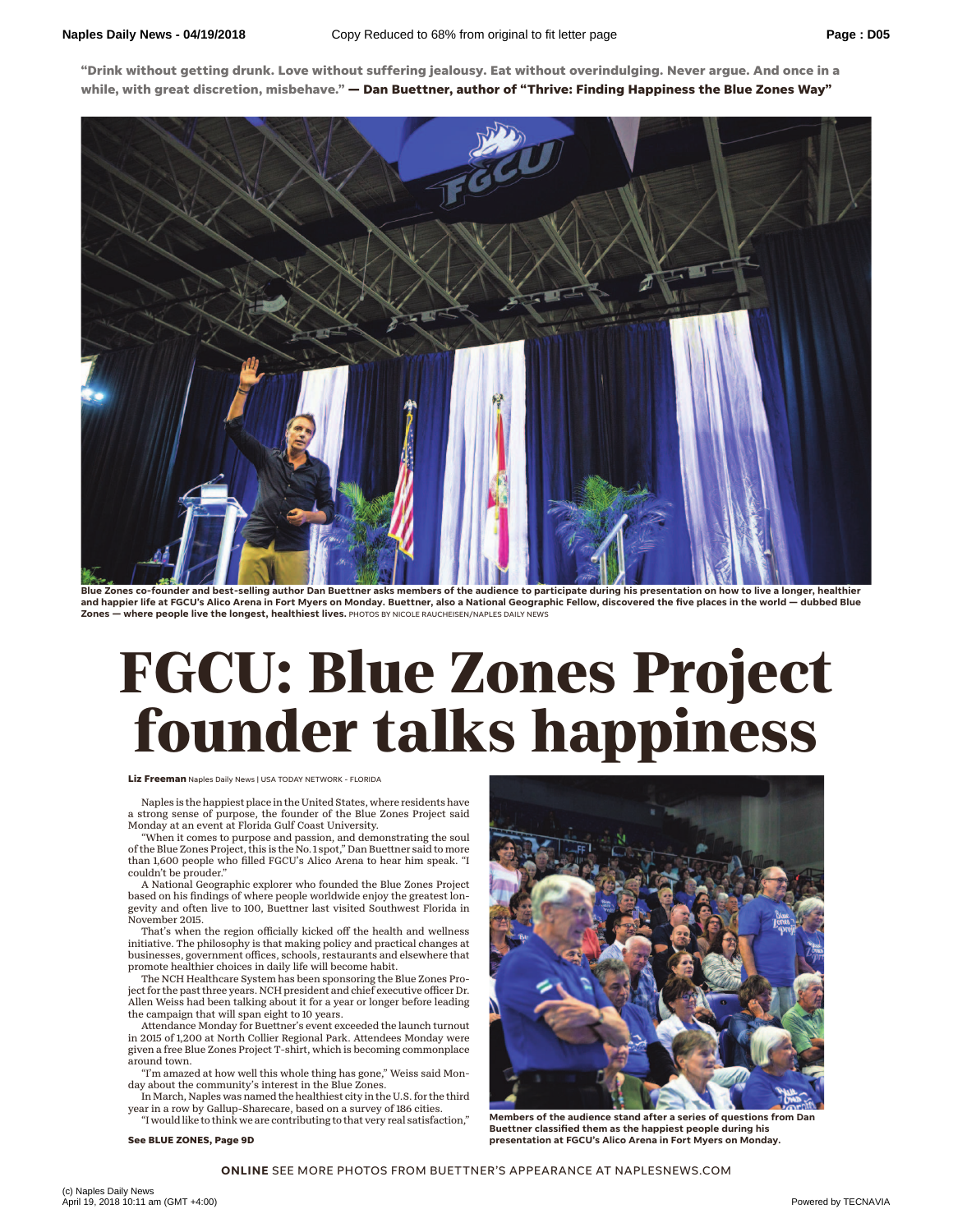**"Drink without getting drunk. Love without suffering jealousy. Eat without overindulging. Never argue. And once in a while, with great discretion, misbehave." — Dan Buettner, author of "Thrive: Finding Happiness the Blue Zones Way"**



Blue Zones co-founder and best-selling author Dan Buettner asks members of the audience to participate during his presentation on how to live a longer, healthier and happier life at FGCU's Alico Arena in Fort Myers on Monday. Buettner, also a National Geographic Fellow, discovered the five places in the world — dubbed Blue<br>Zones — where people live the longest, healthiest lives, PH **- where people live the longest, healthiest lives.** PHOTOS BY NICOLE RAUCHEISEN/NAPLES DAILY NEWS

## **FGCU: Blue Zones Project founder talks happiness**

## **Liz Freeman** Naples Daily News | USA TODAY NETWORK - FLORIDA

Naples is the happiest place in the United States, where residents have a strong sense of purpose, the founder of the Blue Zones Project said Monday at an event at Florida Gulf Coast University.

"When it comes to purpose and passion, and demonstrating the soul of the Blue Zones Project, this is the No. 1 spot," Dan Buettner said to more than 1,600 people who filled FGCU's Alico Arena to hear him speak. "I couldn't be prouder."

A National Geographic explorer who founded the Blue Zones Project based on his findings of where people worldwide enjoy the greatest longevity and often live to 100, Buettner last visited Southwest Florida in November 2015.

That's when the region officially kicked off the health and wellness initiative. The philosophy is that making policy and practical changes at businesses, government offices, schools, restaurants and elsewhere that promote healthier choices in daily life will become habit.

The NCH Healthcare System has been sponsoring the Blue Zones Project for the past three years. NCH president and chief executive officer Dr. Allen Weiss had been talking about it for a year or longer before leading the campaign that will span eight to 10 years.

Attendance Monday for Buettner's event exceeded the launch turnout in 2015 of 1,200 at North Collier Regional Park. Attendees Monday were given a free Blue Zones Project T-shirt, which is becoming commonplace around town.

"I'm amazed at how well this whole thing has gone," Weiss said Monday about the community's interest in the Blue Zones.

In March, Naples was named the healthiest city in the U.S. for the third year in a row by Gallup-Sharecare, based on a survey of 186 cities.

"I would like to think we are contributing to that very real satisfaction,"

**See BLUE ZONES, Page 9D**



**Members of the audience stand after a series of questions from Dan Buettner classified them as the happiest people during his presentation at FGCU's Alico Arena in Fort Myers on Monday.** 

**ONLINE** SEE MORE PHOTOS FROM BUETTNER'S APPEARANCE AT NAPLESNEWS.COM